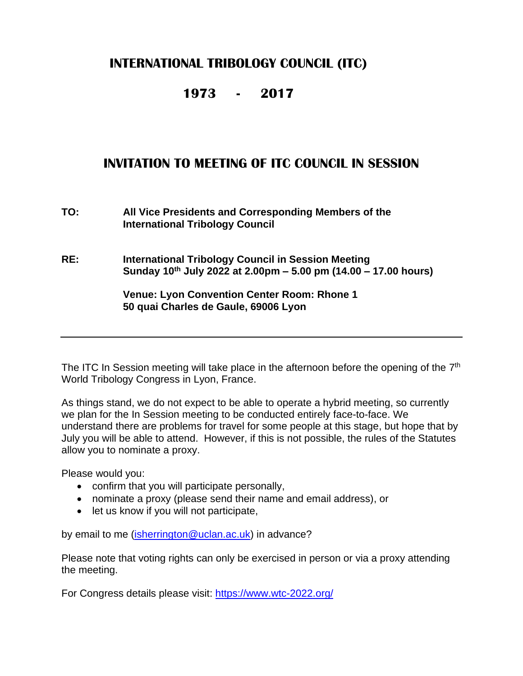### **INTERNATIONAL TRIBOLOGY COUNCIL (ITC)**

#### **1973 - 2017**

### **INVITATION TO MEETING OF ITC COUNCIL IN SESSION**

**TO: All Vice Presidents and Corresponding Members of the International Tribology Council**

**RE: International Tribology Council in Session Meeting Sunday 10 th July 2022 at 2.00pm – 5.00 pm (14.00 – 17.00 hours)**

> **Venue: Lyon Convention Center Room: Rhone 1 50 quai Charles de Gaule, 69006 Lyon**

The ITC In Session meeting will take place in the afternoon before the opening of the  $7<sup>th</sup>$ World Tribology Congress in Lyon, France.

As things stand, we do not expect to be able to operate a hybrid meeting, so currently we plan for the In Session meeting to be conducted entirely face-to-face. We understand there are problems for travel for some people at this stage, but hope that by July you will be able to attend. However, if this is not possible, the rules of the Statutes allow you to nominate a proxy.

Please would you:

- confirm that you will participate personally,
- nominate a proxy (please send their name and email address), or
- let us know if you will not participate,

by email to me [\(isherrington@uclan.ac.uk\)](mailto:isherrington@uclan.ac.uk) in advance?

Please note that voting rights can only be exercised in person or via a proxy attending the meeting.

For Congress details please visit: <https://www.wtc-2022.org/>